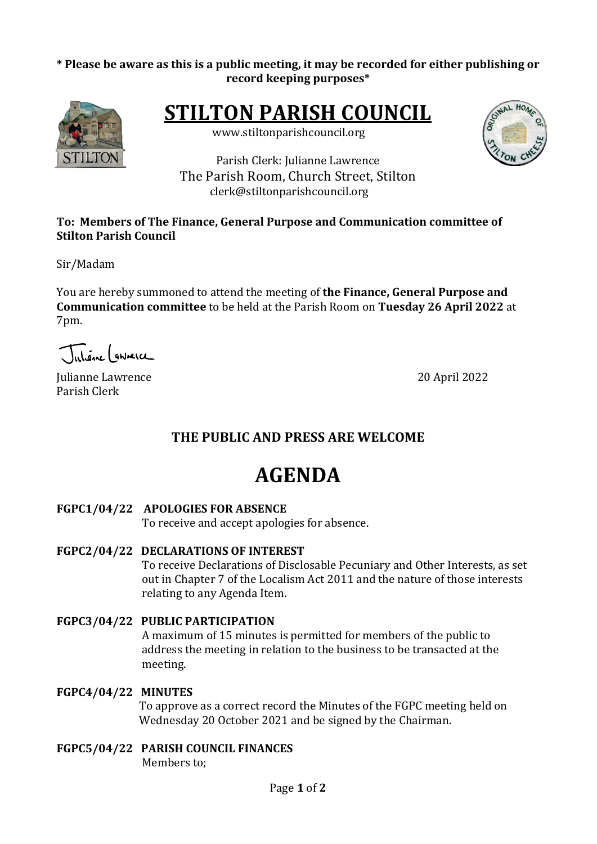#### \* Please be aware as this is a public meeting, it may be recorded for either publishing or **record keeping purposes\***



**STILTON PARISH COUNCIL** 

 www.stiltonparishcouncil.org

Parish Clerk: Julianne Lawrence The Parish Room, Church Street, Stilton clerk@stiltonparishcouncil.org

#### To: Members of The Finance, General Purpose and Communication committee of **Stilton Parish Council**

Sir/Madam

You are hereby summoned to attend the meeting of **the Finance, General Purpose and Communication committee** to be held at the Parish Room on **Tuesday 26 April 2022** at 7pm.

Juliane Lawrence

Iulianne Lawrence 20 April 2022 Parish Clerk

## **THE PUBLIC AND PRESS ARE WELCOME**

# **AGENDA**

FGPC1/04/22 APOLOGIES FOR ABSENCE

To receive and accept apologies for absence.

**FGPC2/04/22 DECLARATIONS OF INTEREST**

To receive Declarations of Disclosable Pecuniary and Other Interests, as set out in Chapter 7 of the Localism Act 2011 and the nature of those interests relating to any Agenda Item.

**FGPC3/04/22 PUBLIC PARTICIPATION**

A maximum of 15 minutes is permitted for members of the public to address the meeting in relation to the business to be transacted at the meeting.

#### **FGPC4/04/22 MINUTES**

To approve as a correct record the Minutes of the FGPC meeting held on Wednesday 20 October 2021 and be signed by the Chairman.

**FGPC5/04/22 PARISH COUNCIL FINANCES** Members to: